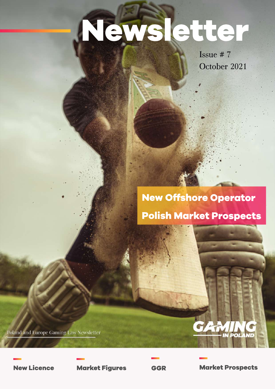# Newsletter

Issue#7 October 2021

## **New Offshore Operator Polish Market Prospects**

Poland and Europe Gaming Law Newsletter

**New Licence Market Figures GGR Market Prospects** 

**POL** 

TV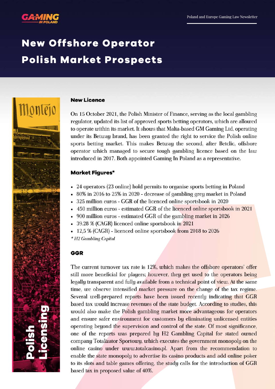

Montejo

## **New Offshore Operator Polish Market Prospects**

#### **New Licence**

On 15 October 2021, the Polish Minister of Finance, serving as the local gambling regulator, updated its list of approved sports betting operators, which are allowed to operate within its market. It shows that Malta-based GM Gaming Ltd, operating under its Betway brand, has been granted the right to service the Polish online sports betting market. This makes Betway the second, after Betclic, offshore operator which managed to secure tough gambling licence based on the law introduced in 2017. Both appointed Gaming In Poland as a representative.

#### **Market Figures\***

- 24 operators (23 online) hold permits to organise sports betting in Poland
- 80% in 2016 to 25% in 2020 decrease of gambling grey market in Poland
- 325 million euros GGR of the licenced online sportsbook in 2020
- 450 million euros estimated GGR of the licenced online sportsbook in 2021
- 900 million euros estimated GGR of the gambling market in 2026
- 39.28 % (CAGR) licenced online sportsbook in 2021
- 12,5 % (CAGR) licenced online sportsbook from 2018 to 2026

\* H<sub>2</sub> Gambling Capital

#### **GGR**

The current turnover tax rate is 12%, which makes the offshore operators' offer still more beneficial for players; however, they get used to the operators being legally transparent and fully available from a technical point of view. At the same time, we observe intensified market pressure on the change of the tax regime. Several well-prepared reports have been issued recently indicating that GGR based tax would increase revenues of the state budget. According to studies, this would also make the Polish gambling market more advantageous for operators and ensure safer environment for customers by eliminating unlicensed entities operating beyond the supervision and control of the state. Of most significance, one of the reports was prepared by H2 Gambling Capital for stated owned company Totalizator Sportowy, which executes the government monopoly on the online casino under www.totalcasino.pl. Apart from the recommendation to enable the state monopoly to advertise its casino products and add online poker to its slots and table games offering, the study calls for the introduction of GGR based tax in proposed value of 40%.